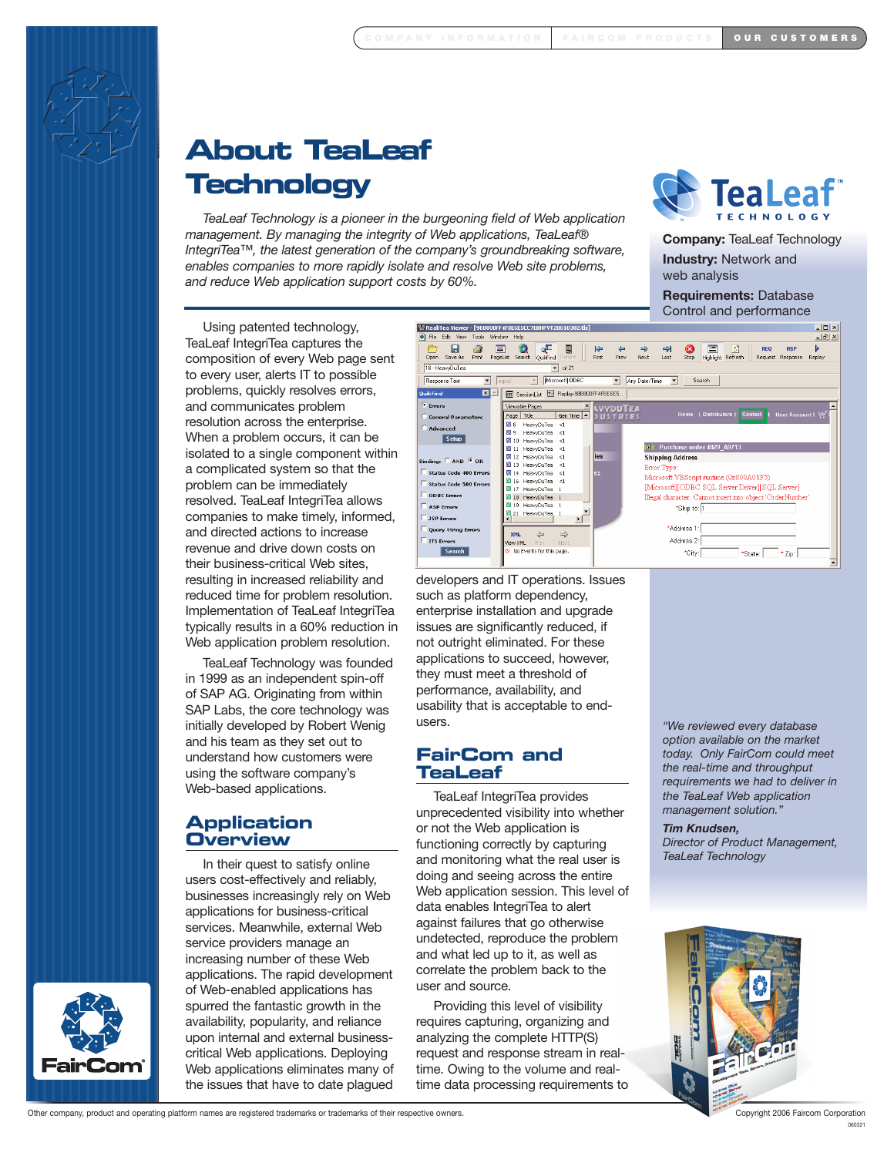

# **About TeaLeaf Technology**

*TeaLeaf Technology is a pioneer in the burgeoning field of Web application management. By managing the integrity of Web applications, TeaLeaf® IntegriTea™, the latest generation of the company's groundbreaking software, enables companies to more rapidly isolate and resolve Web site problems, and reduce Web application support costs by 60%.*



**Company:** TeaLeaf Technology

**Industry:** Network and web analysis

**Requirements:** Database Control and performance

Using patented technology, TeaLeaf IntegriTea captures the composition of every Web page sent to every user, alerts IT to possible problems, quickly resolves errors, and communicates problem resolution across the enterprise. When a problem occurs, it can be isolated to a single component within a complicated system so that the problem can be immediately resolved. TeaLeaf IntegriTea allows companies to make timely, informed, and directed actions to increase revenue and drive down costs on their business-critical Web sites, resulting in increased reliability and reduced time for problem resolution. Implementation of TeaLeaf IntegriTea typically results in a 60% reduction in Web application problem resolution.

TeaLeaf Technology was founded in 1999 as an independent spin-off of SAP AG. Originating from within SAP Labs, the core technology was initially developed by Robert Wenig and his team as they set out to understand how customers were using the software company's Web-based applications.

### **Application Overview**

In their quest to satisfy online users cost-effectively and reliably, businesses increasingly rely on Web applications for business-critical services. Meanwhile, external Web service providers manage an increasing number of these Web applications. The rapid development of Web-enabled applications has spurred the fantastic growth in the availability, popularity, and reliance upon internal and external businesscritical Web applications. Deploying Web applications eliminates many of the issues that have to date plagued



developers and IT operations. Issues such as platform dependency, enterprise installation and upgrade issues are significantly reduced, if not outright eliminated. For these applications to succeed, however, they must meet a threshold of performance, availability, and usability that is acceptable to endusers.

### **FairCom and TeaLeaf**

TeaLeaf IntegriTea provides unprecedented visibility into whether or not the Web application is functioning correctly by capturing and monitoring what the real user is doing and seeing across the entire Web application session. This level of data enables IntegriTea to alert against failures that go otherwise undetected, reproduce the problem and what led up to it, as well as correlate the problem back to the user and source.

Providing this level of visibility requires capturing, organizing and analyzing the complete HTTP(S) request and response stream in realtime. Owing to the volume and realtime data processing requirements to

*"We reviewed every database option available on the market today. Only FairCom could meet the real-time and throughput requirements we had to deliver in the TeaLeaf Web application management solution."*

*Tim Knudsen,* 

*Director of Product Management, TeaLeaf Technology*